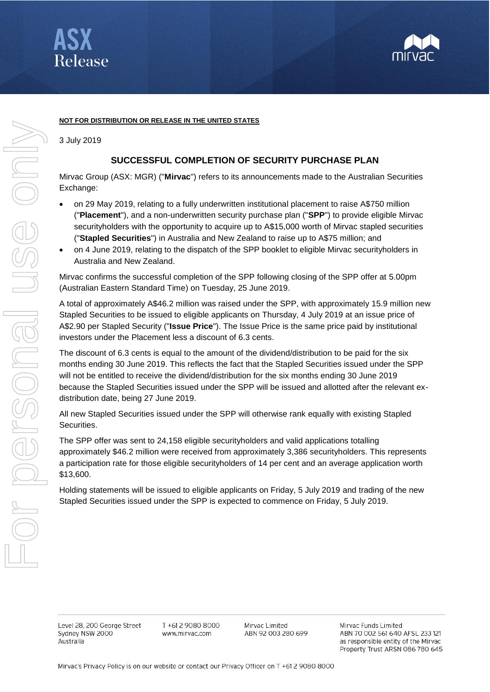



## **NOT FOR DISTRIBUTION OR RELEASE IN THE UNITED STATES**

3 July 2019

## **SUCCESSFUL COMPLETION OF SECURITY PURCHASE PLAN**

Mirvac Group (ASX: MGR) ("**Mirvac**") refers to its announcements made to the Australian Securities Exchange:

- on 29 May 2019, relating to a fully underwritten institutional placement to raise A\$750 million ("**Placement**"), and a non-underwritten security purchase plan ("**SPP**") to provide eligible Mirvac securityholders with the opportunity to acquire up to A\$15,000 worth of Mirvac stapled securities ("**Stapled Securities**") in Australia and New Zealand to raise up to A\$75 million; and
- on 4 June 2019, relating to the dispatch of the SPP booklet to eligible Mirvac securityholders in Australia and New Zealand.

Mirvac confirms the successful completion of the SPP following closing of the SPP offer at 5.00pm (Australian Eastern Standard Time) on Tuesday, 25 June 2019.

A total of approximately A\$46.2 million was raised under the SPP, with approximately 15.9 million new Stapled Securities to be issued to eligible applicants on Thursday, 4 July 2019 at an issue price of A\$2.90 per Stapled Security ("**Issue Price**"). The Issue Price is the same price paid by institutional investors under the Placement less a discount of 6.3 cents.

The discount of 6.3 cents is equal to the amount of the dividend/distribution to be paid for the six months ending 30 June 2019. This reflects the fact that the Stapled Securities issued under the SPP will not be entitled to receive the dividend/distribution for the six months ending 30 June 2019 because the Stapled Securities issued under the SPP will be issued and allotted after the relevant exdistribution date, being 27 June 2019.

All new Stapled Securities issued under the SPP will otherwise rank equally with existing Stapled Securities.

The SPP offer was sent to 24,158 eligible securityholders and valid applications totalling approximately \$46.2 million were received from approximately 3,386 securityholders. This represents a participation rate for those eligible securityholders of 14 per cent and an average application worth \$13,600.

Holding statements will be issued to eligible applicants on Friday, 5 July 2019 and trading of the new Stapled Securities issued under the SPP is expected to commence on Friday, 5 July 2019.

Level 28, 200 George Street Sydney NSW 2000 Australia

T +61 2 9080 8000 www.mirvac.com

Mirvac Limited ABN 92 003 280 699 Mirvac Funds Limited ABN 70 002 561 640 AFSL 233 121 as responsible entity of the Mirvac Property Trust ARSN 086 780 645